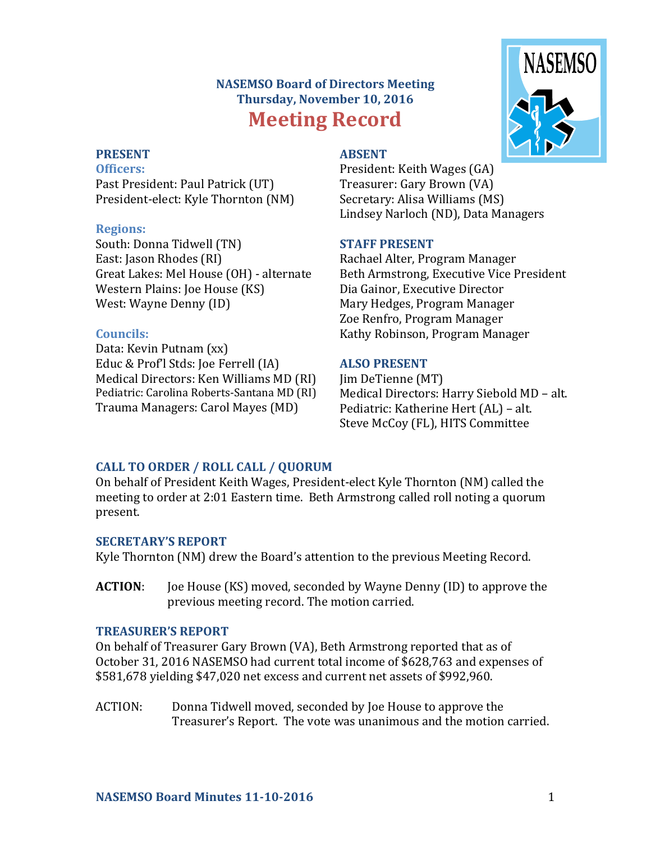# **NASEMSO Board of Directors Meeting Thursday, November 10, 2016 Meeting Record**



### **PRESENT**

**Officers:** Past President: Paul Patrick (UT) President-elect: Kyle Thornton (NM)

### **Regions:**

South: Donna Tidwell (TN) East: Jason Rhodes (RI) Great Lakes: Mel House (OH) - alternate Western Plains: Joe House (KS) West: Wayne Denny (ID)

### **Councils:**

Data: Kevin Putnam (xx) Educ & Prof'l Stds: Joe Ferrell (IA) Medical Directors: Ken Williams MD (RI) Pediatric: Carolina Roberts-Santana MD (RI) Trauma Managers: Carol Mayes (MD)

## **ABSENT**

President: Keith Wages (GA) Treasurer: Gary Brown (VA) Secretary: Alisa Williams (MS) Lindsey Narloch (ND), Data Managers

## **STAFF PRESENT**

Rachael Alter, Program Manager Beth Armstrong, Executive Vice President Dia Gainor, Executive Director Mary Hedges, Program Manager Zoe Renfro, Program Manager Kathy Robinson, Program Manager

## **ALSO PRESENT**

Jim DeTienne (MT) Medical Directors: Harry Siebold MD – alt. Pediatric: Katherine Hert (AL) – alt. Steve McCoy (FL), HITS Committee

## **CALL TO ORDER / ROLL CALL / QUORUM**

On behalf of President Keith Wages, President-elect Kyle Thornton (NM) called the meeting to order at 2:01 Eastern time. Beth Armstrong called roll noting a quorum present.

## **SECRETARY'S REPORT**

Kyle Thornton (NM) drew the Board's attention to the previous Meeting Record.

**ACTION**: Joe House (KS) moved, seconded by Wayne Denny (ID) to approve the previous meeting record. The motion carried.

### **TREASURER'S REPORT**

On behalf of Treasurer Gary Brown (VA), Beth Armstrong reported that as of October 31, 2016 NASEMSO had current total income of \$628,763 and expenses of \$581,678 yielding \$47,020 net excess and current net assets of \$992,960.

ACTION: Donna Tidwell moved, seconded by Joe House to approve the Treasurer's Report. The vote was unanimous and the motion carried.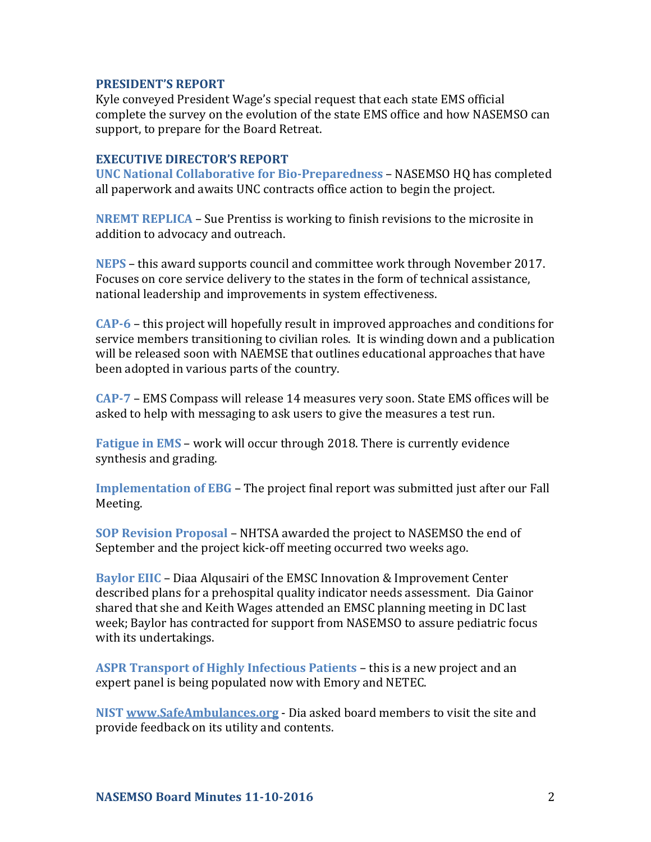### **PRESIDENT'S REPORT**

Kyle conveyed President Wage's special request that each state EMS official complete the survey on the evolution of the state EMS office and how NASEMSO can support, to prepare for the Board Retreat.

### **EXECUTIVE DIRECTOR'S REPORT**

**UNC National Collaborative for Bio-Preparedness** – NASEMSO HQ has completed all paperwork and awaits UNC contracts office action to begin the project.

**NREMT REPLICA** – Sue Prentiss is working to finish revisions to the microsite in addition to advocacy and outreach.

**NEPS** – this award supports council and committee work through November 2017. Focuses on core service delivery to the states in the form of technical assistance, national leadership and improvements in system effectiveness.

**CAP-6** – this project will hopefully result in improved approaches and conditions for service members transitioning to civilian roles. It is winding down and a publication will be released soon with NAEMSE that outlines educational approaches that have been adopted in various parts of the country.

**CAP-7** – EMS Compass will release 14 measures very soon. State EMS offices will be asked to help with messaging to ask users to give the measures a test run.

**Fatigue in EMS** – work will occur through 2018. There is currently evidence synthesis and grading.

**Implementation of EBG** – The project final report was submitted just after our Fall Meeting.

**SOP Revision Proposal** – NHTSA awarded the project to NASEMSO the end of September and the project kick-off meeting occurred two weeks ago.

**Baylor EIIC** – Diaa Alqusairi of the EMSC Innovation & Improvement Center described plans for a prehospital quality indicator needs assessment. Dia Gainor shared that she and Keith Wages attended an EMSC planning meeting in DC last week; Baylor has contracted for support from NASEMSO to assure pediatric focus with its undertakings.

**ASPR Transport of Highly Infectious Patients** – this is a new project and an expert panel is being populated now with Emory and NETEC.

**NIST [www.SafeAmbulances.org](http://www.safeambulances.org/)** - Dia asked board members to visit the site and provide feedback on its utility and contents.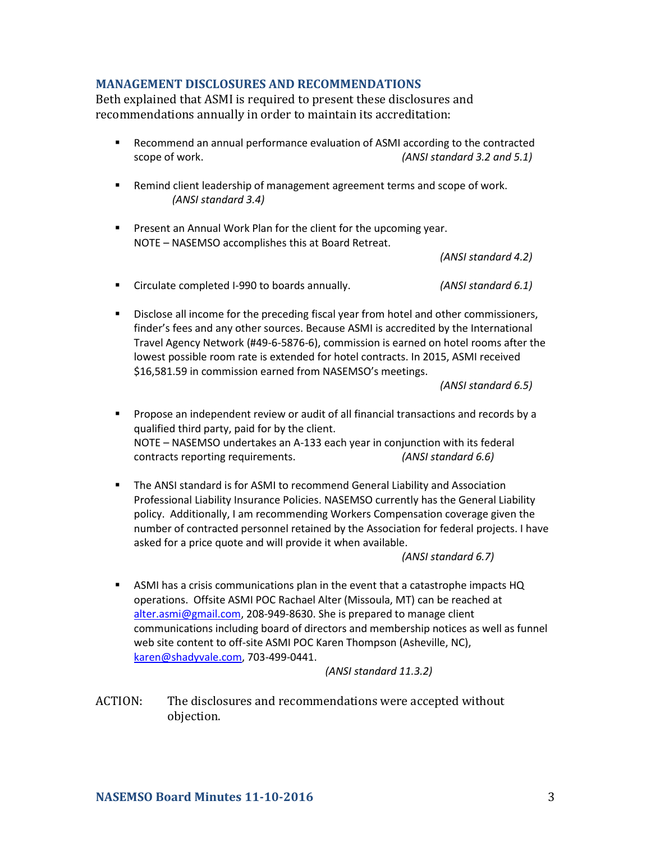### **MANAGEMENT DISCLOSURES AND RECOMMENDATIONS**

Beth explained that ASMI is required to present these disclosures and recommendations annually in order to maintain its accreditation:

- Recommend an annual performance evaluation of ASMI according to the contracted scope of work. *(ANSI standard 3.2 and 5.1)*
- **Remind client leadership of management agreement terms and scope of work.** *(ANSI standard 3.4)*
- **Present an Annual Work Plan for the client for the upcoming year.** NOTE – NASEMSO accomplishes this at Board Retreat.

*(ANSI standard 4.2)*

- Circulate completed I-990 to boards annually. *(ANSI standard 6.1)*
- **Disclose all income for the preceding fiscal year from hotel and other commissioners,** finder's fees and any other sources. Because ASMI is accredited by the International Travel Agency Network (#49-6-5876-6), commission is earned on hotel rooms after the lowest possible room rate is extended for hotel contracts. In 2015, ASMI received \$16,581.59 in commission earned from NASEMSO's meetings.

*(ANSI standard 6.5)*

- **Propose an independent review or audit of all financial transactions and records by a** qualified third party, paid for by the client. NOTE – NASEMSO undertakes an A-133 each year in conjunction with its federal contracts reporting requirements. *(ANSI standard 6.6)*
- The ANSI standard is for ASMI to recommend General Liability and Association Professional Liability Insurance Policies. NASEMSO currently has the General Liability policy. Additionally, I am recommending Workers Compensation coverage given the number of contracted personnel retained by the Association for federal projects. I have asked for a price quote and will provide it when available.

*(ANSI standard 6.7)*

 ASMI has a crisis communications plan in the event that a catastrophe impacts HQ operations. Offsite ASMI POC Rachael Alter (Missoula, MT) can be reached at [alter.asmi@gmail.com,](mailto:alter@nasemso.org) 208-949-8630. She is prepared to manage client communications including board of directors and membership notices as well as funnel web site content to off-site ASMI POC Karen Thompson (Asheville, NC), [karen@shadyvale.com,](mailto:thompson@shadyvale.com) 703-499-0441.

*(ANSI standard 11.3.2)*

ACTION: The disclosures and recommendations were accepted without objection.